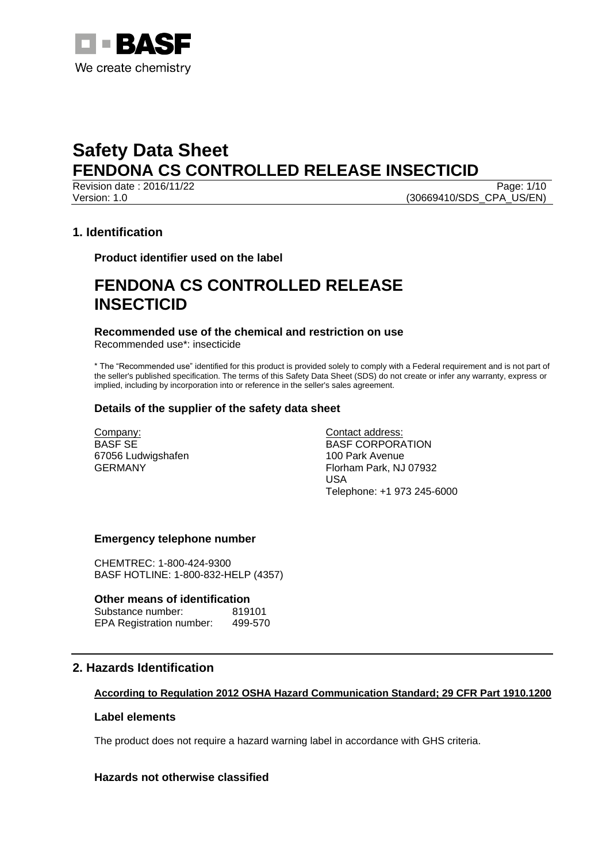

**Revision date : 2016/11/22** Page: 1/10 Version: 1.0 (30669410/SDS\_CPA\_US/EN)

## **1. Identification**

**Product identifier used on the label**

# **FENDONA CS CONTROLLED RELEASE INSECTICID**

#### **Recommended use of the chemical and restriction on use** Recommended use\*: insecticide

\* The "Recommended use" identified for this product is provided solely to comply with a Federal requirement and is not part of the seller's published specification. The terms of this Safety Data Sheet (SDS) do not create or infer any warranty, express or implied, including by incorporation into or reference in the seller's sales agreement.

## **Details of the supplier of the safety data sheet**

Company: BASF SE 67056 Ludwigshafen GERMANY

Contact address: BASF CORPORATION 100 Park Avenue Florham Park, NJ 07932 USA Telephone: +1 973 245-6000

## **Emergency telephone number**

CHEMTREC: 1-800-424-9300 BASF HOTLINE: 1-800-832-HELP (4357)

### **Other means of identification**

Substance number: 819101 EPA Registration number: 499-570

# **2. Hazards Identification**

## **According to Regulation 2012 OSHA Hazard Communication Standard; 29 CFR Part 1910.1200**

## **Label elements**

The product does not require a hazard warning label in accordance with GHS criteria.

## **Hazards not otherwise classified**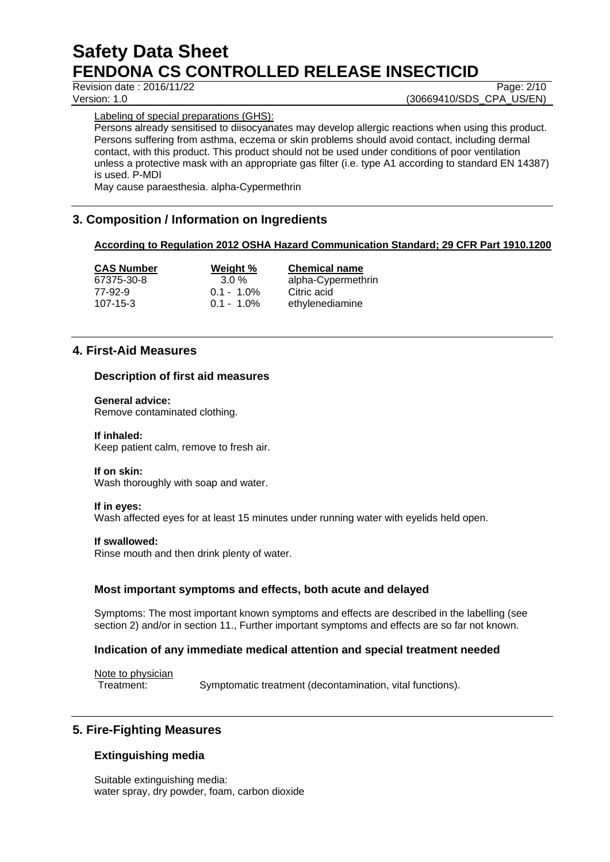Revision date : 2016/11/22 Page: 2/10

Version: 1.0 **(30669410/SDS\_CPA\_US/EN)** 

Labeling of special preparations (GHS):

Persons already sensitised to diisocyanates may develop allergic reactions when using this product. Persons suffering from asthma, eczema or skin problems should avoid contact, including dermal contact, with this product. This product should not be used under conditions of poor ventilation unless a protective mask with an appropriate gas filter (i.e. type A1 according to standard EN 14387) is used. P-MDI

May cause paraesthesia. alpha-Cypermethrin

# **3. Composition / Information on Ingredients**

## **According to Regulation 2012 OSHA Hazard Communication Standard; 29 CFR Part 1910.1200**

| <b>CAS Number</b> | Weight %      | <b>Chemical name</b> |
|-------------------|---------------|----------------------|
| 67375-30-8        | $3.0\%$       | alpha-Cypermethrin   |
| 77-92-9           | $0.1 - 1.0\%$ | Citric acid          |
| 107-15-3          | $0.1 - 1.0\%$ | ethylenediamine      |

# **4. First-Aid Measures**

## **Description of first aid measures**

### **General advice:**

Remove contaminated clothing.

### **If inhaled:**

Keep patient calm, remove to fresh air.

### **If on skin:**

Wash thoroughly with soap and water.

### **If in eyes:**

Wash affected eyes for at least 15 minutes under running water with eyelids held open.

### **If swallowed:**

Rinse mouth and then drink plenty of water.

## **Most important symptoms and effects, both acute and delayed**

Symptoms: The most important known symptoms and effects are described in the labelling (see section 2) and/or in section 11.. Further important symptoms and effects are so far not known.

### **Indication of any immediate medical attention and special treatment needed**

Note to physician

Treatment: Symptomatic treatment (decontamination, vital functions).

# **5. Fire-Fighting Measures**

## **Extinguishing media**

Suitable extinguishing media: water spray, dry powder, foam, carbon dioxide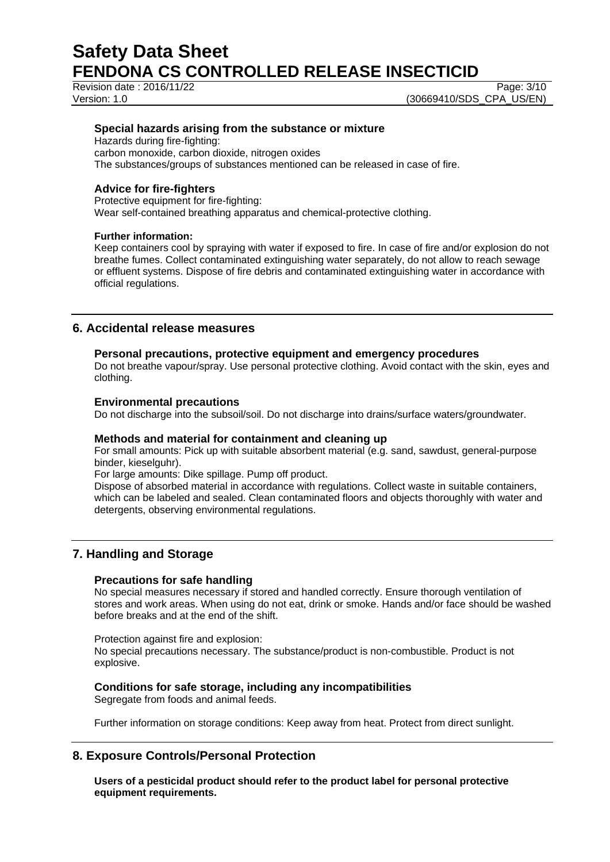Revision date : 2016/11/22 Page: 3/10

Version: 1.0 **(30669410/SDS\_CPA\_US/EN)** 

## **Special hazards arising from the substance or mixture**

Hazards during fire-fighting: carbon monoxide, carbon dioxide, nitrogen oxides The substances/groups of substances mentioned can be released in case of fire.

## **Advice for fire-fighters**

Protective equipment for fire-fighting: Wear self-contained breathing apparatus and chemical-protective clothing.

## **Further information:**

Keep containers cool by spraying with water if exposed to fire. In case of fire and/or explosion do not breathe fumes. Collect contaminated extinguishing water separately, do not allow to reach sewage or effluent systems. Dispose of fire debris and contaminated extinguishing water in accordance with official regulations.

## **6. Accidental release measures**

## **Personal precautions, protective equipment and emergency procedures**

Do not breathe vapour/spray. Use personal protective clothing. Avoid contact with the skin, eyes and clothing.

## **Environmental precautions**

Do not discharge into the subsoil/soil. Do not discharge into drains/surface waters/groundwater.

### **Methods and material for containment and cleaning up**

For small amounts: Pick up with suitable absorbent material (e.g. sand, sawdust, general-purpose binder, kieselguhr).

For large amounts: Dike spillage. Pump off product.

Dispose of absorbed material in accordance with regulations. Collect waste in suitable containers, which can be labeled and sealed. Clean contaminated floors and objects thoroughly with water and detergents, observing environmental regulations.

# **7. Handling and Storage**

## **Precautions for safe handling**

No special measures necessary if stored and handled correctly. Ensure thorough ventilation of stores and work areas. When using do not eat, drink or smoke. Hands and/or face should be washed before breaks and at the end of the shift.

Protection against fire and explosion: No special precautions necessary. The substance/product is non-combustible. Product is not explosive.

## **Conditions for safe storage, including any incompatibilities**

Segregate from foods and animal feeds.

Further information on storage conditions: Keep away from heat. Protect from direct sunlight.

## **8. Exposure Controls/Personal Protection**

**Users of a pesticidal product should refer to the product label for personal protective equipment requirements.**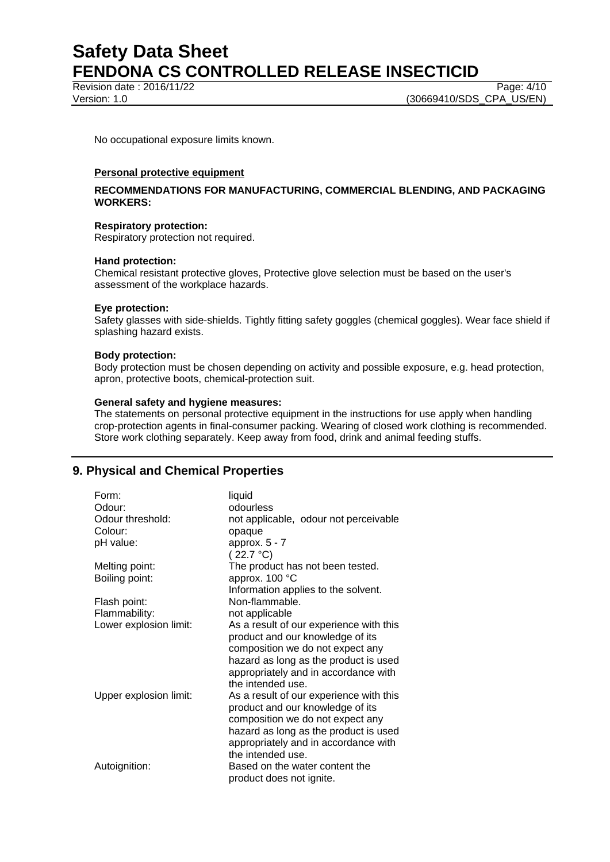Revision date : 2016/11/22 Page: 4/10

Version: 1.0 **(30669410/SDS\_CPA\_US/EN)** 

No occupational exposure limits known.

#### **Personal protective equipment**

### **RECOMMENDATIONS FOR MANUFACTURING, COMMERCIAL BLENDING, AND PACKAGING WORKERS:**

#### **Respiratory protection:**

Respiratory protection not required.

#### **Hand protection:**

Chemical resistant protective gloves, Protective glove selection must be based on the user's assessment of the workplace hazards.

#### **Eye protection:**

Safety glasses with side-shields. Tightly fitting safety goggles (chemical goggles). Wear face shield if splashing hazard exists.

#### **Body protection:**

Body protection must be chosen depending on activity and possible exposure, e.g. head protection, apron, protective boots, chemical-protection suit.

#### **General safety and hygiene measures:**

The statements on personal protective equipment in the instructions for use apply when handling crop-protection agents in final-consumer packing. Wearing of closed work clothing is recommended. Store work clothing separately. Keep away from food, drink and animal feeding stuffs.

# **9. Physical and Chemical Properties**

| Form:                  | liquid                                  |
|------------------------|-----------------------------------------|
| Odour:                 | odourless                               |
| Odour threshold:       | not applicable, odour not perceivable   |
| Colour:                | opaque                                  |
| pH value:              | approx. $5 - 7$                         |
|                        | (22.7 °C)                               |
| Melting point:         | The product has not been tested.        |
| Boiling point:         | approx. 100 °C                          |
|                        | Information applies to the solvent.     |
| Flash point:           | Non-flammable.                          |
| Flammability:          | not applicable                          |
| Lower explosion limit: | As a result of our experience with this |
|                        | product and our knowledge of its        |
|                        | composition we do not expect any        |
|                        | hazard as long as the product is used   |
|                        | appropriately and in accordance with    |
|                        | the intended use.                       |
| Upper explosion limit: | As a result of our experience with this |
|                        | product and our knowledge of its        |
|                        | composition we do not expect any        |
|                        | hazard as long as the product is used   |
|                        | appropriately and in accordance with    |
|                        | the intended use.                       |
| Autoignition:          | Based on the water content the          |
|                        | product does not ignite.                |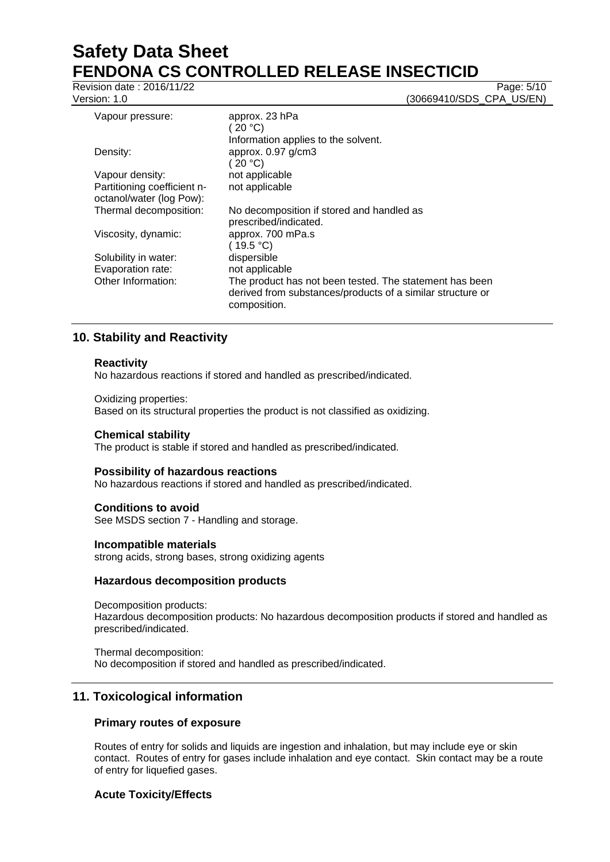Revision date : 2016/11/22 Page: 5/10

Version: 1.0 **(30669410/SDS\_CPA\_US/EN)** 

| Vapour pressure:                                        | approx. 23 hPa<br>(20 °C)                                                                                                             |
|---------------------------------------------------------|---------------------------------------------------------------------------------------------------------------------------------------|
|                                                         | Information applies to the solvent.                                                                                                   |
| Density:                                                | approx. 0.97 g/cm3<br>(20 °C)                                                                                                         |
| Vapour density:                                         | not applicable                                                                                                                        |
| Partitioning coefficient n-<br>octanol/water (log Pow): | not applicable                                                                                                                        |
| Thermal decomposition:                                  | No decomposition if stored and handled as<br>prescribed/indicated.                                                                    |
| Viscosity, dynamic:                                     | approx. 700 mPa.s<br>(19.5 °C)                                                                                                        |
| Solubility in water:                                    | dispersible                                                                                                                           |
| Evaporation rate:                                       | not applicable                                                                                                                        |
| Other Information:                                      | The product has not been tested. The statement has been<br>derived from substances/products of a similar structure or<br>composition. |

# **10. Stability and Reactivity**

## **Reactivity**

No hazardous reactions if stored and handled as prescribed/indicated.

#### Oxidizing properties:

Based on its structural properties the product is not classified as oxidizing.

### **Chemical stability**

The product is stable if stored and handled as prescribed/indicated.

### **Possibility of hazardous reactions**

No hazardous reactions if stored and handled as prescribed/indicated.

### **Conditions to avoid**

See MSDS section 7 - Handling and storage.

### **Incompatible materials**

strong acids, strong bases, strong oxidizing agents

## **Hazardous decomposition products**

Decomposition products: Hazardous decomposition products: No hazardous decomposition products if stored and handled as prescribed/indicated.

Thermal decomposition: No decomposition if stored and handled as prescribed/indicated.

# **11. Toxicological information**

## **Primary routes of exposure**

Routes of entry for solids and liquids are ingestion and inhalation, but may include eye or skin contact. Routes of entry for gases include inhalation and eye contact. Skin contact may be a route of entry for liquefied gases.

## **Acute Toxicity/Effects**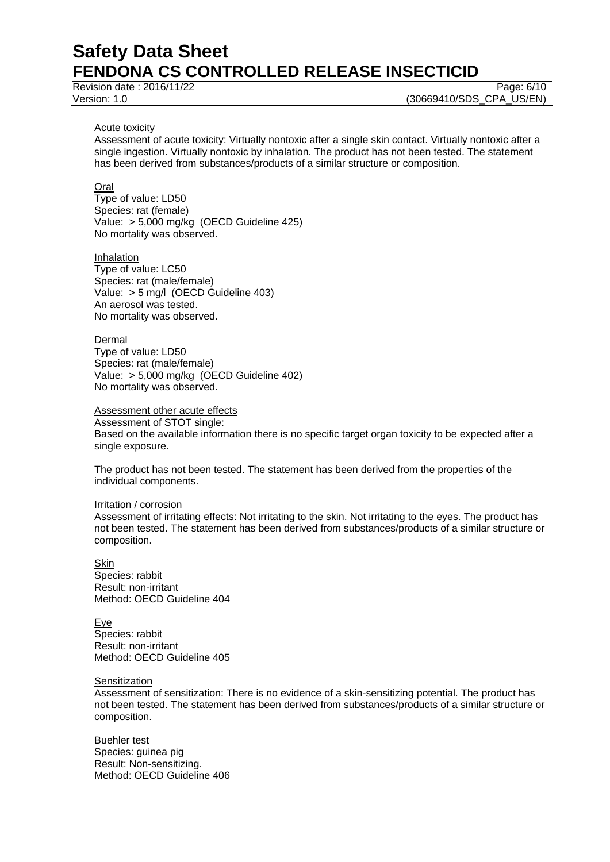Revision date : 2016/11/22 Page: 6/10

Version: 1.0 **(30669410/SDS\_CPA\_US/EN)** 

#### Acute toxicity

Assessment of acute toxicity: Virtually nontoxic after a single skin contact. Virtually nontoxic after a single ingestion. Virtually nontoxic by inhalation. The product has not been tested. The statement has been derived from substances/products of a similar structure or composition.

### Oral

Type of value: LD50 Species: rat (female) Value: > 5,000 mg/kg (OECD Guideline 425) No mortality was observed.

#### **Inhalation**

Type of value: LC50 Species: rat (male/female) Value: > 5 mg/l (OECD Guideline 403) An aerosol was tested. No mortality was observed.

#### **Dermal**

Type of value: LD50 Species: rat (male/female) Value: > 5,000 mg/kg (OECD Guideline 402) No mortality was observed.

## Assessment other acute effects

Assessment of STOT single: Based on the available information there is no specific target organ toxicity to be expected after a single exposure.

The product has not been tested. The statement has been derived from the properties of the individual components.

#### Irritation / corrosion

Assessment of irritating effects: Not irritating to the skin. Not irritating to the eyes. The product has not been tested. The statement has been derived from substances/products of a similar structure or composition.

#### Skin Species: rabbit Result: non-irritant Method: OECD Guideline 404

Eye Species: rabbit Result: non-irritant Method: OECD Guideline 405

#### **Sensitization**

Assessment of sensitization: There is no evidence of a skin-sensitizing potential. The product has not been tested. The statement has been derived from substances/products of a similar structure or composition.

Buehler test Species: guinea pig Result: Non-sensitizing. Method: OECD Guideline 406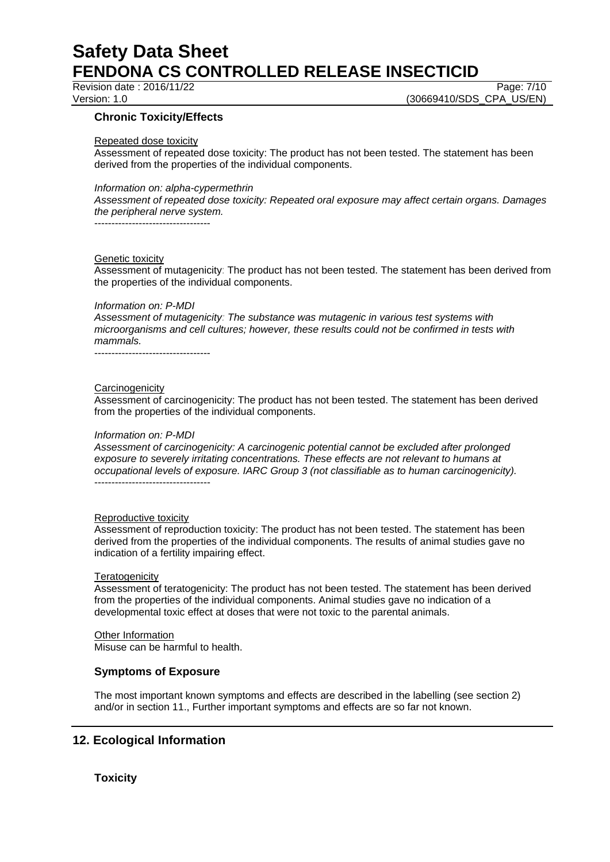## Revision date : 2016/11/22 Page: 7/10

Version: 1.0 **(30669410/SDS\_CPA\_US/EN)** 

## **Chronic Toxicity/Effects**

#### Repeated dose toxicity

Assessment of repeated dose toxicity: The product has not been tested. The statement has been derived from the properties of the individual components.

#### *Information on: alpha-cypermethrin*

*Assessment of repeated dose toxicity: Repeated oral exposure may affect certain organs. Damages the peripheral nerve system.*

----------------------------------

#### Genetic toxicity

Assessment of mutagenicity: The product has not been tested. The statement has been derived from the properties of the individual components.

#### *Information on: P-MDI*

*Assessment of mutagenicity: The substance was mutagenic in various test systems with microorganisms and cell cultures; however, these results could not be confirmed in tests with mammals.*

----------------------------------

#### **Carcinogenicity**

Assessment of carcinogenicity: The product has not been tested. The statement has been derived from the properties of the individual components.

#### *Information on: P-MDI*

*Assessment of carcinogenicity: A carcinogenic potential cannot be excluded after prolonged exposure to severely irritating concentrations. These effects are not relevant to humans at occupational levels of exposure. IARC Group 3 (not classifiable as to human carcinogenicity).* ----------------------------------

#### Reproductive toxicity

Assessment of reproduction toxicity: The product has not been tested. The statement has been derived from the properties of the individual components. The results of animal studies gave no indication of a fertility impairing effect.

#### **Teratogenicity**

Assessment of teratogenicity: The product has not been tested. The statement has been derived from the properties of the individual components. Animal studies gave no indication of a developmental toxic effect at doses that were not toxic to the parental animals.

### Other Information

Misuse can be harmful to health.

### **Symptoms of Exposure**

The most important known symptoms and effects are described in the labelling (see section 2) and/or in section 11., Further important symptoms and effects are so far not known.

# **12. Ecological Information**

## **Toxicity**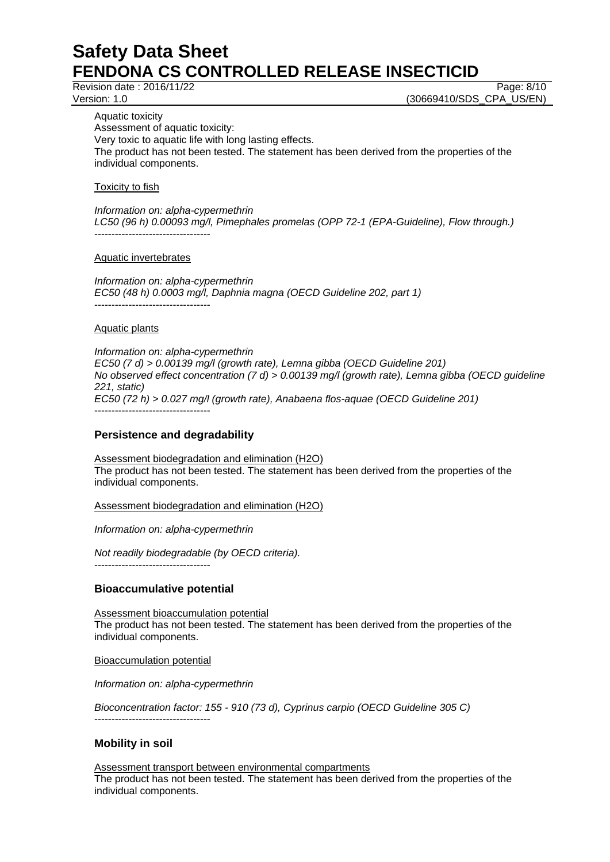Revision date : 2016/11/22 Page: 8/10

Version: 1.0 **(30669410/SDS\_CPA\_US/EN)** 

Aquatic toxicity Assessment of aquatic toxicity: Very toxic to aquatic life with long lasting effects. The product has not been tested. The statement has been derived from the properties of the individual components.

Toxicity to fish

*Information on: alpha-cypermethrin LC50 (96 h) 0.00093 mg/l, Pimephales promelas (OPP 72-1 (EPA-Guideline), Flow through.)* ----------------------------------

Aquatic invertebrates

*Information on: alpha-cypermethrin EC50 (48 h) 0.0003 mg/l, Daphnia magna (OECD Guideline 202, part 1)* ----------------------------------

## Aquatic plants

*Information on: alpha-cypermethrin EC50 (7 d) > 0.00139 mg/l (growth rate), Lemna gibba (OECD Guideline 201) No observed effect concentration (7 d) > 0.00139 mg/l (growth rate), Lemna gibba (OECD guideline 221, static) EC50 (72 h) > 0.027 mg/l (growth rate), Anabaena flos-aquae (OECD Guideline 201)* ----------------------------------

## **Persistence and degradability**

Assessment biodegradation and elimination (H2O) The product has not been tested. The statement has been derived from the properties of the individual components.

Assessment biodegradation and elimination (H2O)

*Information on: alpha-cypermethrin*

*Not readily biodegradable (by OECD criteria).*

## **Bioaccumulative potential**

----------------------------------

Assessment bioaccumulation potential The product has not been tested. The statement has been derived from the properties of the individual components.

Bioaccumulation potential

*Information on: alpha-cypermethrin*

*Bioconcentration factor: 155 - 910 (73 d), Cyprinus carpio (OECD Guideline 305 C)* ----------------------------------

## **Mobility in soil**

Assessment transport between environmental compartments The product has not been tested. The statement has been derived from the properties of the individual components.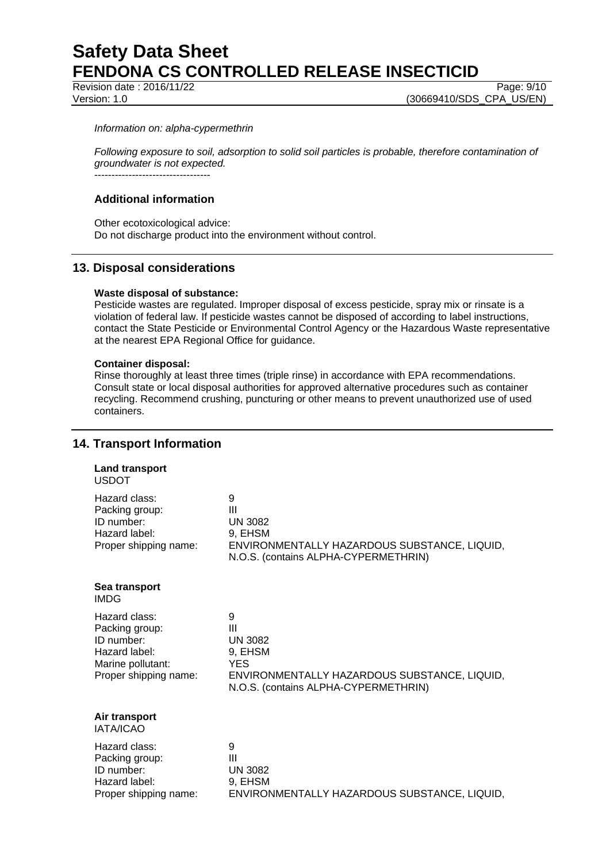Revision date : 2016/11/22 Page: 9/10

#### *Information on: alpha-cypermethrin*

*Following exposure to soil, adsorption to solid soil particles is probable, therefore contamination of groundwater is not expected.*  $-$ 

# **Additional information**

Other ecotoxicological advice: Do not discharge product into the environment without control.

## **13. Disposal considerations**

#### **Waste disposal of substance:**

Pesticide wastes are regulated. Improper disposal of excess pesticide, spray mix or rinsate is a violation of federal law. If pesticide wastes cannot be disposed of according to label instructions, contact the State Pesticide or Environmental Control Agency or the Hazardous Waste representative at the nearest EPA Regional Office for guidance.

#### **Container disposal:**

Rinse thoroughly at least three times (triple rinse) in accordance with EPA recommendations. Consult state or local disposal authorities for approved alternative procedures such as container recycling. Recommend crushing, puncturing or other means to prevent unauthorized use of used containers.

## **14. Transport Information**

| <b>Land transport</b><br><b>USDOT</b>                                                                        |                                                                                                                                                        |
|--------------------------------------------------------------------------------------------------------------|--------------------------------------------------------------------------------------------------------------------------------------------------------|
| Hazard class:<br>Packing group:<br>ID number:<br>Hazard label:<br>Proper shipping name:                      | 9<br>$\mathbf{III}$<br><b>UN 3082</b><br>9, EHSM<br>ENVIRONMENTALLY HAZARDOUS SUBSTANCE, LIQUID,<br>N.O.S. (contains ALPHA-CYPERMETHRIN)               |
| Sea transport<br><b>IMDG</b>                                                                                 |                                                                                                                                                        |
| Hazard class:<br>Packing group:<br>ID number:<br>Hazard label:<br>Marine pollutant:<br>Proper shipping name: | 9<br>$\mathbf{III}$<br><b>UN 3082</b><br>9, EHSM<br><b>YES</b><br>ENVIRONMENTALLY HAZARDOUS SUBSTANCE, LIQUID,<br>N.O.S. (contains ALPHA-CYPERMETHRIN) |
| Air transport<br><b>IATA/ICAO</b>                                                                            |                                                                                                                                                        |
| Hazard class:<br>Packing group:<br>ID number:<br>Hazard label:                                               | 9<br>$\mathbf{III}$<br><b>UN 3082</b><br>9. EHSM                                                                                                       |

Proper shipping name: ENVIRONMENTALLY HAZARDOUS SUBSTANCE, LIQUID,